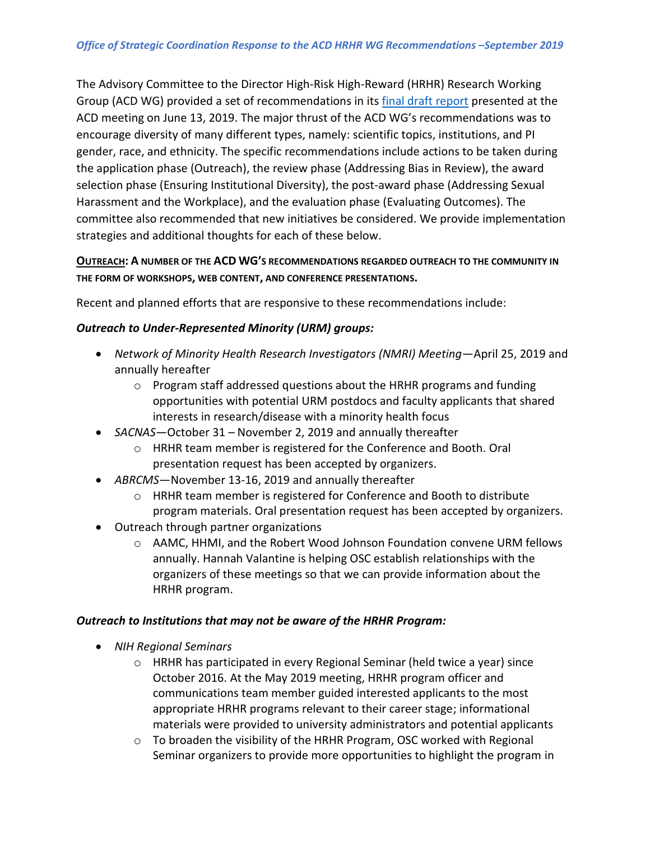The Advisory Committee to the Director High-Risk High-Reward (HRHR) Research Working Group (ACD WG) provided a set of recommendations in it[s final draft report](https://acd.od.nih.gov/documents/presentations/06132019HRHR_B.pdf) presented at the ACD meeting on June 13, 2019. The major thrust of the ACD WG's recommendations was to encourage diversity of many different types, namely: scientific topics, institutions, and PI gender, race, and ethnicity. The specific recommendations include actions to be taken during the application phase (Outreach), the review phase (Addressing Bias in Review), the award selection phase (Ensuring Institutional Diversity), the post-award phase (Addressing Sexual Harassment and the Workplace), and the evaluation phase (Evaluating Outcomes). The committee also recommended that new initiatives be considered. We provide implementation strategies and additional thoughts for each of these below.

## **OUTREACH: A NUMBER OF THE ACD WG'S RECOMMENDATIONS REGARDED OUTREACH TO THE COMMUNITY IN THE FORM OF WORKSHOPS, WEB CONTENT, AND CONFERENCE PRESENTATIONS.**

Recent and planned efforts that are responsive to these recommendations include:

## *Outreach to Under-Represented Minority (URM) groups:*

- *Network of Minority Health Research Investigators (NMRI) Meeting*—April 25, 2019 and annually hereafter
	- o Program staff addressed questions about the HRHR programs and funding opportunities with potential URM postdocs and faculty applicants that shared interests in research/disease with a minority health focus
- *SACNAS*—October 31 November 2, 2019 and annually thereafter
	- o HRHR team member is registered for the Conference and Booth. Oral presentation request has been accepted by organizers.
- *ABRCMS*—November 13-16, 2019 and annually thereafter
	- o HRHR team member is registered for Conference and Booth to distribute program materials. Oral presentation request has been accepted by organizers.
- Outreach through partner organizations
	- o AAMC, HHMI, and the Robert Wood Johnson Foundation convene URM fellows annually. Hannah Valantine is helping OSC establish relationships with the organizers of these meetings so that we can provide information about the HRHR program.

## *Outreach to Institutions that may not be aware of the HRHR Program:*

- *NIH Regional Seminars*
	- $\circ$  HRHR has participated in every Regional Seminar (held twice a year) since October 2016. At the May 2019 meeting, HRHR program officer and communications team member guided interested applicants to the most appropriate HRHR programs relevant to their career stage; informational materials were provided to university administrators and potential applicants
	- $\circ$  To broaden the visibility of the HRHR Program, OSC worked with Regional Seminar organizers to provide more opportunities to highlight the program in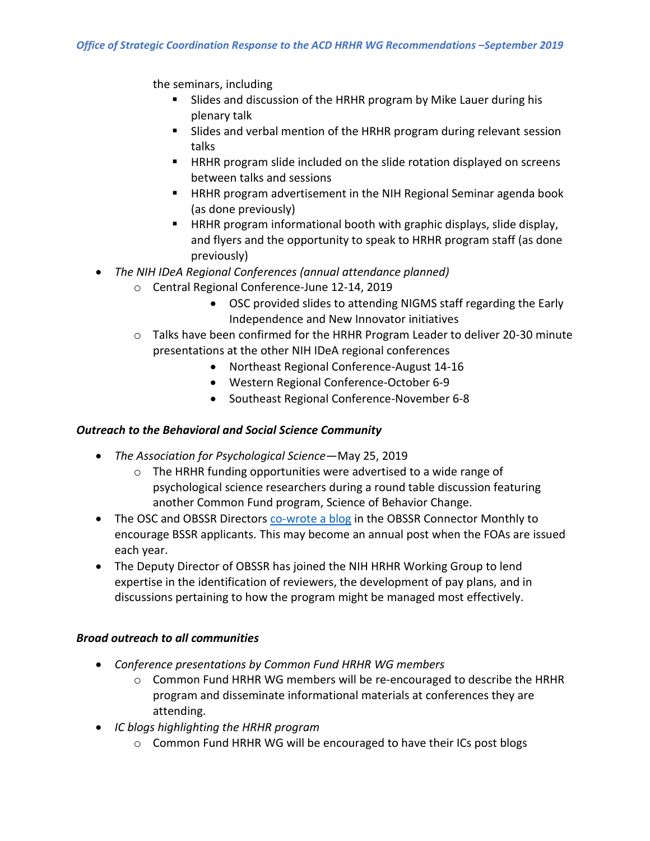the seminars, including

- Slides and discussion of the HRHR program by Mike Lauer during his plenary talk
- Slides and verbal mention of the HRHR program during relevant session talks
- HRHR program slide included on the slide rotation displayed on screens between talks and sessions
- HRHR program advertisement in the NIH Regional Seminar agenda book (as done previously)
- HRHR program informational booth with graphic displays, slide display, and flyers and the opportunity to speak to HRHR program staff (as done previously)
- *The NIH IDeA Regional Conferences (annual attendance planned)*
	- o Central Regional Conference-June 12-14, 2019
		- OSC provided slides to attending NIGMS staff regarding the Early Independence and New Innovator initiatives
	- $\circ$  Talks have been confirmed for the HRHR Program Leader to deliver 20-30 minute presentations at the other NIH IDeA regional conferences
		- Northeast Regional Conference-August 14-16
		- Western Regional Conference-October 6-9
		- Southeast Regional Conference-November 6-8

## *Outreach to the Behavioral and Social Science Community*

- *The Association for Psychological Science*—May 25, 2019
	- o The HRHR funding opportunities were advertised to a wide range of psychological science researchers during a round table discussion featuring another Common Fund program, Science of Behavior Change.
- The OSC and OBSSR Directors [co-wrote a blog](https://obssr.od.nih.gov/high-risk-high-reward-research-of-the-behavioral-and-social-sciences/) in the OBSSR Connector Monthly to encourage BSSR applicants. This may become an annual post when the FOAs are issued each year.
- The Deputy Director of OBSSR has joined the NIH HRHR Working Group to lend expertise in the identification of reviewers, the development of pay plans, and in discussions pertaining to how the program might be managed most effectively.

## *Broad outreach to all communities*

- *Conference presentations by Common Fund HRHR WG members*
	- $\circ$  Common Fund HRHR WG members will be re-encouraged to describe the HRHR program and disseminate informational materials at conferences they are attending.
- *IC blogs highlighting the HRHR program*
	- o Common Fund HRHR WG will be encouraged to have their ICs post blogs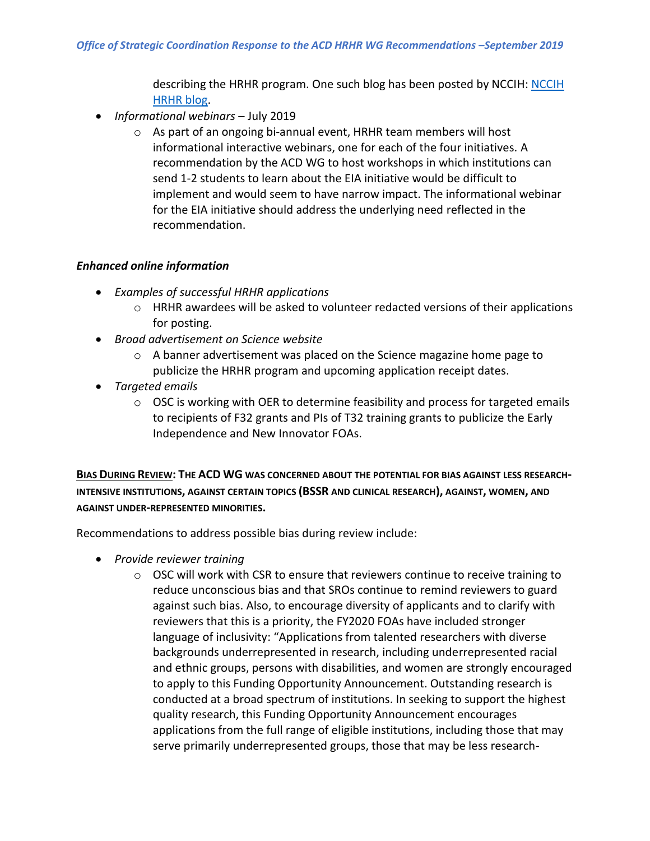describing the HRHR program. One such blog has been posted by NCCIH: [NCCIH](https://nccih.nih.gov/research/blog/high-risk-high-reward)  [HRHR blog.](https://nccih.nih.gov/research/blog/high-risk-high-reward)

- *Informational webinars*  July 2019
	- $\circ$  As part of an ongoing bi-annual event, HRHR team members will host informational interactive webinars, one for each of the four initiatives. A recommendation by the ACD WG to host workshops in which institutions can send 1-2 students to learn about the EIA initiative would be difficult to implement and would seem to have narrow impact. The informational webinar for the EIA initiative should address the underlying need reflected in the recommendation.

## *Enhanced online information*

- *Examples of successful HRHR applications*
	- $\circ$  HRHR awardees will be asked to volunteer redacted versions of their applications for posting.
- *Broad advertisement on Science website*
	- $\circ$  A banner advertisement was placed on the Science magazine home page to publicize the HRHR program and upcoming application receipt dates.
- *Targeted emails*
	- o OSC is working with OER to determine feasibility and process for targeted emails to recipients of F32 grants and PIs of T32 training grants to publicize the Early Independence and New Innovator FOAs.

**BIAS DURING REVIEW: THE ACD WG WAS CONCERNED ABOUT THE POTENTIAL FOR BIAS AGAINST LESS RESEARCH-INTENSIVE INSTITUTIONS, AGAINST CERTAIN TOPICS (BSSR AND CLINICAL RESEARCH), AGAINST, WOMEN, AND AGAINST UNDER-REPRESENTED MINORITIES.**

Recommendations to address possible bias during review include:

- *Provide reviewer training* 
	- $\circ$  OSC will work with CSR to ensure that reviewers continue to receive training to reduce unconscious bias and that SROs continue to remind reviewers to guard against such bias. Also, to encourage diversity of applicants and to clarify with reviewers that this is a priority, the FY2020 FOAs have included stronger language of inclusivity: "Applications from talented researchers with diverse backgrounds underrepresented in research, including underrepresented racial and ethnic groups, persons with disabilities, and women are strongly encouraged to apply to this Funding Opportunity Announcement. Outstanding research is conducted at a broad spectrum of institutions. In seeking to support the highest quality research, this Funding Opportunity Announcement encourages applications from the full range of eligible institutions, including those that may serve primarily underrepresented groups, those that may be less research-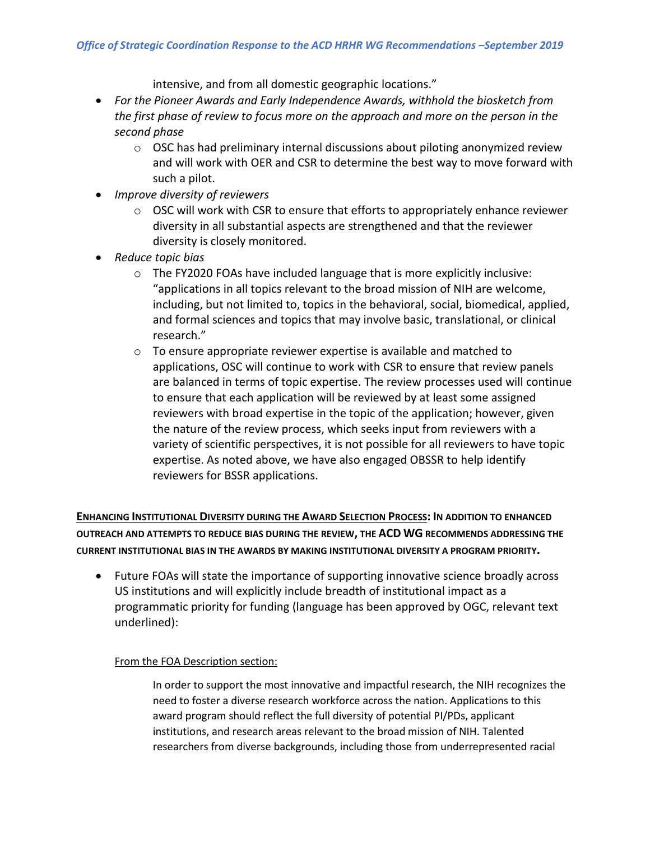intensive, and from all domestic geographic locations."

- *For the Pioneer Awards and Early Independence Awards, withhold the biosketch from the first phase of review to focus more on the approach and more on the person in the second phase*
	- $\circ$  OSC has had preliminary internal discussions about piloting anonymized review and will work with OER and CSR to determine the best way to move forward with such a pilot.
- *Improve diversity of reviewers*
	- o OSC will work with CSR to ensure that efforts to appropriately enhance reviewer diversity in all substantial aspects are strengthened and that the reviewer diversity is closely monitored.
- *Reduce topic bias* 
	- $\circ$  The FY2020 FOAs have included language that is more explicitly inclusive: "applications in all topics relevant to the broad mission of NIH are welcome, including, but not limited to, topics in the behavioral, social, biomedical, applied, and formal sciences and topics that may involve basic, translational, or clinical research."
	- o To ensure appropriate reviewer expertise is available and matched to applications, OSC will continue to work with CSR to ensure that review panels are balanced in terms of topic expertise. The review processes used will continue to ensure that each application will be reviewed by at least some assigned reviewers with broad expertise in the topic of the application; however, given the nature of the review process, which seeks input from reviewers with a variety of scientific perspectives, it is not possible for all reviewers to have topic expertise. As noted above, we have also engaged OBSSR to help identify reviewers for BSSR applications.

**ENHANCING INSTITUTIONAL DIVERSITY DURING THE AWARD SELECTION PROCESS: IN ADDITION TO ENHANCED OUTREACH AND ATTEMPTS TO REDUCE BIAS DURING THE REVIEW, THE ACD WG RECOMMENDS ADDRESSING THE CURRENT INSTITUTIONAL BIAS IN THE AWARDS BY MAKING INSTITUTIONAL DIVERSITY A PROGRAM PRIORITY.**

• Future FOAs will state the importance of supporting innovative science broadly across US institutions and will explicitly include breadth of institutional impact as a programmatic priority for funding (language has been approved by OGC, relevant text underlined):

#### From the FOA Description section:

In order to support the most innovative and impactful research, the NIH recognizes the need to foster a diverse research workforce across the nation. Applications to this award program should reflect the full diversity of potential PI/PDs, applicant institutions, and research areas relevant to the broad mission of NIH. Talented researchers from diverse backgrounds, including those from underrepresented racial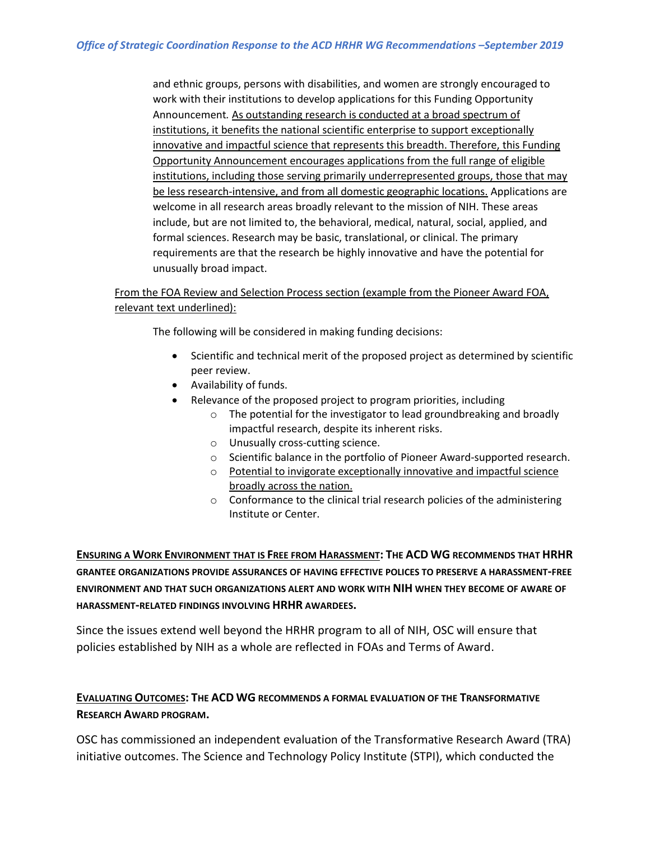and ethnic groups, persons with disabilities, and women are strongly encouraged to work with their institutions to develop applications for this Funding Opportunity Announcement*.* As outstanding research is conducted at a broad spectrum of institutions, it benefits the national scientific enterprise to support exceptionally innovative and impactful science that represents this breadth. Therefore, this Funding Opportunity Announcement encourages applications from the full range of eligible institutions, including those serving primarily underrepresented groups, those that may be less research-intensive, and from all domestic geographic locations. Applications are welcome in all research areas broadly relevant to the mission of NIH. These areas include, but are not limited to, the behavioral, medical, natural, social, applied, and formal sciences. Research may be basic, translational, or clinical. The primary requirements are that the research be highly innovative and have the potential for unusually broad impact.

## From the FOA Review and Selection Process section (example from the Pioneer Award FOA, relevant text underlined):

The following will be considered in making funding decisions:

- Scientific and technical merit of the proposed project as determined by scientific peer review.
- Availability of funds.
	- Relevance of the proposed project to program priorities, including
		- o The potential for the investigator to lead groundbreaking and broadly impactful research, despite its inherent risks.
		- o Unusually cross-cutting science.
		- o Scientific balance in the portfolio of Pioneer Award-supported research.
		- o Potential to invigorate exceptionally innovative and impactful science broadly across the nation.
		- o Conformance to the clinical trial research policies of the administering Institute or Center.

**ENSURING A WORK ENVIRONMENT THAT IS FREE FROM HARASSMENT: THE ACD WG RECOMMENDS THAT HRHR GRANTEE ORGANIZATIONS PROVIDE ASSURANCES OF HAVING EFFECTIVE POLICES TO PRESERVE A HARASSMENT-FREE ENVIRONMENT AND THAT SUCH ORGANIZATIONS ALERT AND WORK WITH NIH WHEN THEY BECOME OF AWARE OF HARASSMENT-RELATED FINDINGS INVOLVING HRHR AWARDEES.**

Since the issues extend well beyond the HRHR program to all of NIH, OSC will ensure that policies established by NIH as a whole are reflected in FOAs and Terms of Award.

# **EVALUATING OUTCOMES: THE ACD WG RECOMMENDS A FORMAL EVALUATION OF THE TRANSFORMATIVE RESEARCH AWARD PROGRAM.**

OSC has commissioned an independent evaluation of the Transformative Research Award (TRA) initiative outcomes. The Science and Technology Policy Institute (STPI), which conducted the